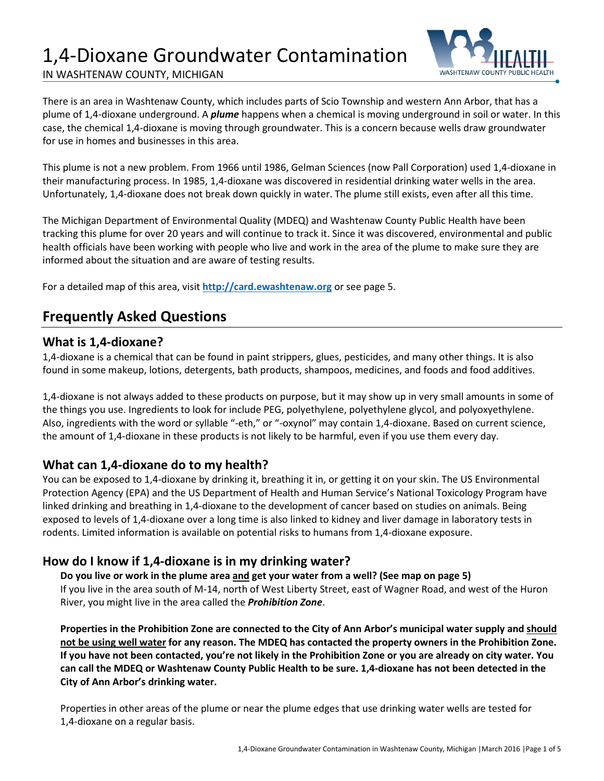# 1,4-Dioxane Groundwater Contamination





There is an area in Washtenaw County, which includes parts of Scio Township and western Ann Arbor, that has a plume of 1,4-dioxane underground. A *plume* happens when a chemical is moving underground in soil or water. In this case, the chemical 1,4-dioxane is moving through groundwater. This is a concern because wells draw groundwater for use in homes and businesses in this area.

This plume is not a new problem. From 1966 until 1986, Gelman Sciences (now Pall Corporation) used 1,4-dioxane in their manufacturing process. In 1985, 1,4-dioxane was discovered in residential drinking water wells in the area. Unfortunately, 1,4-dioxane does not break down quickly in water. The plume still exists, even after all this time.

The Michigan Department of Environmental Quality (MDEQ) and Washtenaw County Public Health have been tracking this plume for over 20 years and will continue to track it. Since it was discovered, environmental and public health officials have been working with people who live and work in the area of the plume to make sure they are informed about the situation and are aware of testing results.

For a detailed map of this area, visit **[http://card.ewashtenaw.org](http://card.ewashtenaw.org/)** or see page 5.

## **Frequently Asked Questions**

### **What is 1,4-dioxane?**

1,4-dioxane is a chemical that can be found in paint strippers, glues, pesticides, and many other things. It is also found in some makeup, lotions, detergents, bath products, shampoos, medicines, and foods and food additives.

1,4-dioxane is not always added to these products on purpose, but it may show up in very small amounts in some of the things you use. Ingredients to look for include PEG, polyethylene, polyethylene glycol, and polyoxyethylene. Also, ingredients with the word or syllable "-eth," or "-oxynol" may contain 1,4-dioxane. Based on current science, the amount of 1,4-dioxane in these products is not likely to be harmful, even if you use them every day.

### **What can 1,4-dioxane do to my health?**

You can be exposed to 1,4-dioxane by drinking it, breathing it in, or getting it on your skin. The US Environmental Protection Agency (EPA) and the US Department of Health and Human Service's National Toxicology Program have linked drinking and breathing in 1,4-dioxane to the development of cancer based on studies on animals. Being exposed to levels of 1,4-dioxane over a long time is also linked to kidney and liver damage in laboratory tests in rodents. Limited information is available on potential risks to humans from 1,4-dioxane exposure.

### **How do I know if 1,4-dioxane is in my drinking water?**

**Do you live or work in the plume area and get your water from a well? (See map on page 5)** If you live in the area south of M-14, north of West Liberty Street, east of Wagner Road, and west of the Huron River, you might live in the area called the *Prohibition Zone*.

**Properties in the Prohibition Zone are connected to the City of Ann Arbor's municipal water supply and should not be using well water for any reason. The MDEQ has contacted the property owners in the Prohibition Zone. If you have not been contacted, you're not likely in the Prohibition Zone or you are already on city water. You can call the MDEQ or Washtenaw County Public Health to be sure. 1,4-dioxane has not been detected in the City of Ann Arbor's drinking water.**

Properties in other areas of the plume or near the plume edges that use drinking water wells are tested for 1,4-dioxane on a regular basis.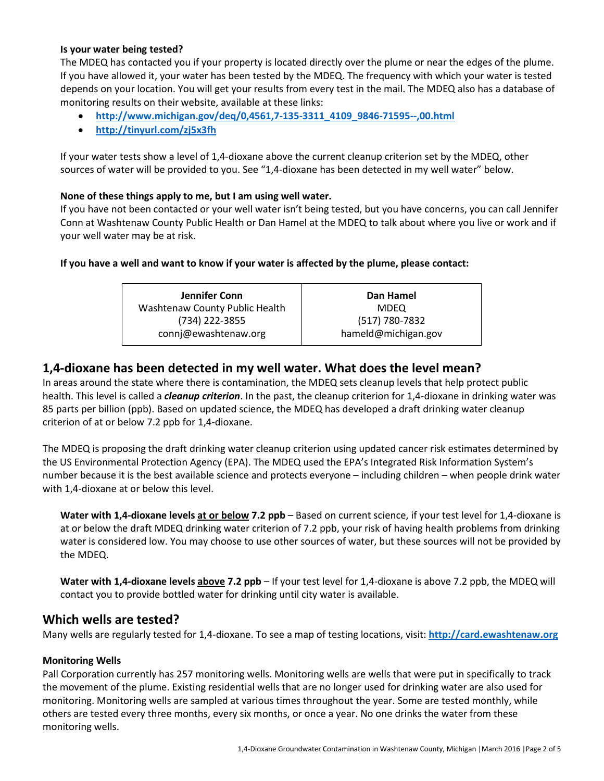#### **Is your water being tested?**

The MDEQ has contacted you if your property is located directly over the plume or near the edges of the plume. If you have allowed it, your water has been tested by the MDEQ. The frequency with which your water is tested depends on your location. You will get your results from every test in the mail. The MDEQ also has a database of monitoring results on their website, available at these links:

- **[http://www.michigan.gov/deq/0,4561,7-135-3311\\_4109\\_9846-71595--,00.html](http://www.michigan.gov/deq/0,4561,7-135-3311_4109_9846-71595--,00.html)**
- **<http://tinyurl.com/zj5x3fh>**

If your water tests show a level of 1,4-dioxane above the current cleanup criterion set by the MDEQ, other sources of water will be provided to you. See "1,4-dioxane has been detected in my well water" below.

#### **None of these things apply to me, but I am using well water.**

If you have not been contacted or your well water isn't being tested, but you have concerns, you can call Jennifer Conn at Washtenaw County Public Health or Dan Hamel at the MDEQ to talk about where you live or work and if your well water may be at risk.

#### **If you have a well and want to know if your water is affected by the plume, please contact:**

| Jennifer Conn                  | Dan Hamel           |
|--------------------------------|---------------------|
| Washtenaw County Public Health | <b>MDEQ</b>         |
| (734) 222-3855                 | (517) 780-7832      |
| connj@ewashtenaw.org           | hameld@michigan.gov |

### **1,4-dioxane has been detected in my well water. What does the level mean?**

In areas around the state where there is contamination, the MDEQ sets cleanup levels that help protect public health. This level is called a *cleanup criterion*. In the past, the cleanup criterion for 1,4-dioxane in drinking water was 85 parts per billion (ppb). Based on updated science, the MDEQ has developed a draft drinking water cleanup criterion of at or below 7.2 ppb for 1,4-dioxane.

The MDEQ is proposing the draft drinking water cleanup criterion using updated cancer risk estimates determined by the US Environmental Protection Agency (EPA). The MDEQ used the EPA's Integrated Risk Information System's number because it is the best available science and protects everyone – including children – when people drink water with 1,4-dioxane at or below this level.

**Water with 1,4-dioxane levels at or below 7.2 ppb** – Based on current science, if your test level for 1,4-dioxane is at or below the draft MDEQ drinking water criterion of 7.2 ppb, your risk of having health problems from drinking water is considered low. You may choose to use other sources of water, but these sources will not be provided by the MDEQ.

**Water with 1,4-dioxane levels above 7.2 ppb** – If your test level for 1,4-dioxane is above 7.2 ppb, the MDEQ will contact you to provide bottled water for drinking until city water is available.

#### **Which wells are tested?**

Many wells are regularly tested for 1,4-dioxane. To see a map of testing locations, visit: **[http://card.ewashtenaw.org](http://card.ewashtenaw.org/)**

#### **Monitoring Wells**

Pall Corporation currently has 257 monitoring wells. Monitoring wells are wells that were put in specifically to track the movement of the plume. Existing residential wells that are no longer used for drinking water are also used for monitoring. Monitoring wells are sampled at various times throughout the year. Some are tested monthly, while others are tested every three months, every six months, or once a year. No one drinks the water from these monitoring wells.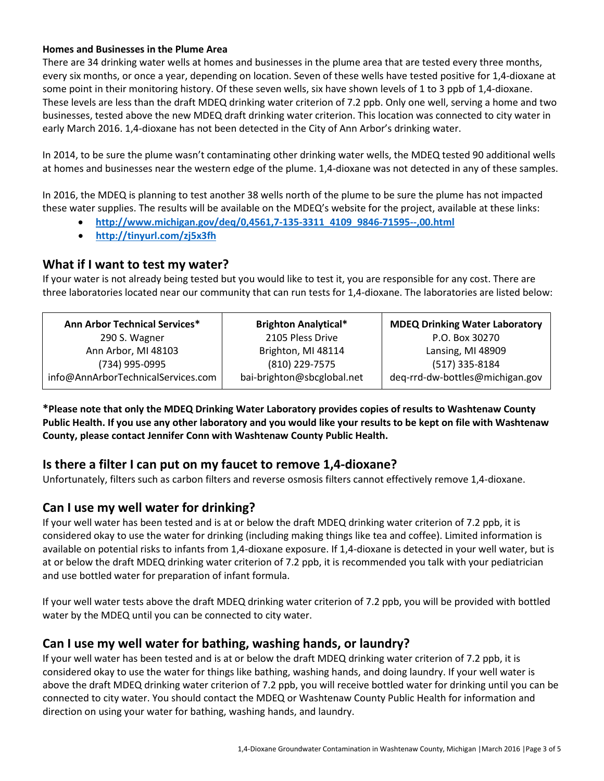#### **Homes and Businesses in the Plume Area**

There are 34 drinking water wells at homes and businesses in the plume area that are tested every three months, every six months, or once a year, depending on location. Seven of these wells have tested positive for 1,4-dioxane at some point in their monitoring history. Of these seven wells, six have shown levels of 1 to 3 ppb of 1,4-dioxane. These levels are less than the draft MDEQ drinking water criterion of 7.2 ppb. Only one well, serving a home and two businesses, tested above the new MDEQ draft drinking water criterion. This location was connected to city water in early March 2016. 1,4-dioxane has not been detected in the City of Ann Arbor's drinking water.

In 2014, to be sure the plume wasn't contaminating other drinking water wells, the MDEQ tested 90 additional wells at homes and businesses near the western edge of the plume. 1,4-dioxane was not detected in any of these samples.

In 2016, the MDEQ is planning to test another 38 wells north of the plume to be sure the plume has not impacted these water supplies. The results will be available on the MDEQ's website for the project, available at these links:

- **[http://www.michigan.gov/deq/0,4561,7-135-3311\\_4109\\_9846-71595--,00.html](http://www.michigan.gov/deq/0,4561,7-135-3311_4109_9846-71595--,00.html)**
- **<http://tinyurl.com/zj5x3fh>**

### **What if I want to test my water?**

If your water is not already being tested but you would like to test it, you are responsible for any cost. There are three laboratories located near our community that can run tests for 1,4-dioxane. The laboratories are listed below:

| <b>Ann Arbor Technical Services*</b> | <b>Brighton Analytical*</b> | <b>MDEQ Drinking Water Laboratory</b> |
|--------------------------------------|-----------------------------|---------------------------------------|
| 290 S. Wagner                        | 2105 Pless Drive            | P.O. Box 30270                        |
| Ann Arbor, MI 48103                  | Brighton, MI 48114          | Lansing, MI 48909                     |
| (734) 995-0995                       | (810) 229-7575              | $(517)$ 335-8184                      |
| info@AnnArborTechnicalServices.com   | bai-brighton@sbcglobal.net  | deq-rrd-dw-bottles@michigan.gov       |

**\*Please note that only the MDEQ Drinking Water Laboratory provides copies of results to Washtenaw County Public Health. If you use any other laboratory and you would like your results to be kept on file with Washtenaw County, please contact Jennifer Conn with Washtenaw County Public Health.** 

### **Is there a filter I can put on my faucet to remove 1,4-dioxane?**

Unfortunately, filters such as carbon filters and reverse osmosis filters cannot effectively remove 1,4-dioxane.

### **Can I use my well water for drinking?**

If your well water has been tested and is at or below the draft MDEQ drinking water criterion of 7.2 ppb, it is considered okay to use the water for drinking (including making things like tea and coffee). Limited information is available on potential risks to infants from 1,4-dioxane exposure. If 1,4-dioxane is detected in your well water, but is at or below the draft MDEQ drinking water criterion of 7.2 ppb, it is recommended you talk with your pediatrician and use bottled water for preparation of infant formula.

If your well water tests above the draft MDEQ drinking water criterion of 7.2 ppb, you will be provided with bottled water by the MDEQ until you can be connected to city water.

### **Can I use my well water for bathing, washing hands, or laundry?**

If your well water has been tested and is at or below the draft MDEQ drinking water criterion of 7.2 ppb, it is considered okay to use the water for things like bathing, washing hands, and doing laundry. If your well water is above the draft MDEQ drinking water criterion of 7.2 ppb, you will receive bottled water for drinking until you can be connected to city water. You should contact the MDEQ or Washtenaw County Public Health for information and direction on using your water for bathing, washing hands, and laundry.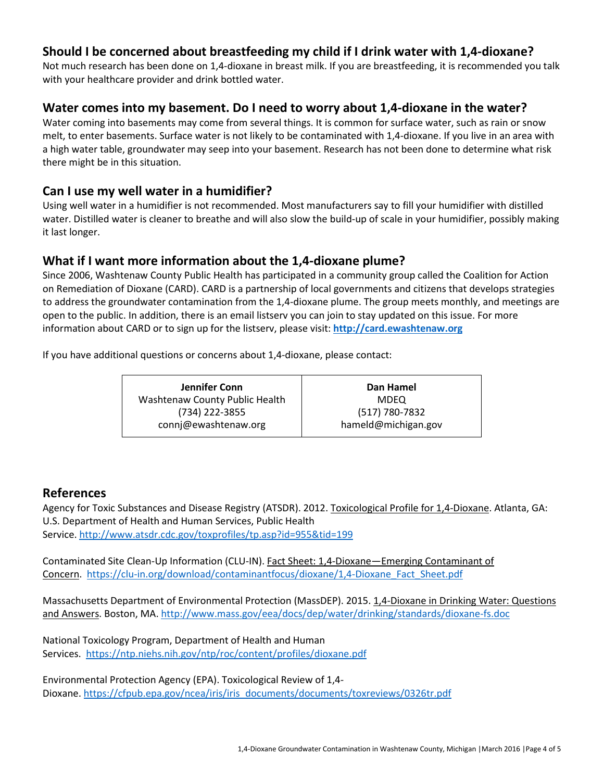### **Should I be concerned about breastfeeding my child if I drink water with 1,4-dioxane?**

Not much research has been done on 1,4-dioxane in breast milk. If you are breastfeeding, it is recommended you talk with your healthcare provider and drink bottled water.

### **Water comes into my basement. Do I need to worry about 1,4-dioxane in the water?**

Water coming into basements may come from several things. It is common for surface water, such as rain or snow melt, to enter basements. Surface water is not likely to be contaminated with 1,4-dioxane. If you live in an area with a high water table, groundwater may seep into your basement. Research has not been done to determine what risk there might be in this situation.

### **Can I use my well water in a humidifier?**

Using well water in a humidifier is not recommended. Most manufacturers say to fill your humidifier with distilled water. Distilled water is cleaner to breathe and will also slow the build-up of scale in your humidifier, possibly making it last longer.

### **What if I want more information about the 1,4-dioxane plume?**

Since 2006, Washtenaw County Public Health has participated in a community group called the Coalition for Action on Remediation of Dioxane (CARD). CARD is a partnership of local governments and citizens that develops strategies to address the groundwater contamination from the 1,4-dioxane plume. The group meets monthly, and meetings are open to the public. In addition, there is an email listserv you can join to stay updated on this issue. For more information about CARD or to sign up for the listserv, please visit: **[http://card.ewashtenaw.org](http://card.ewashtenaw.org/)**

If you have additional questions or concerns about 1,4-dioxane, please contact:

| Jennifer Conn                  | Dan Hamel           |
|--------------------------------|---------------------|
| Washtenaw County Public Health | <b>MDEO</b>         |
| (734) 222-3855                 | (517) 780-7832      |
| connj@ewashtenaw.org           | hameld@michigan.gov |

### **References**

Agency for Toxic Substances and Disease Registry (ATSDR). 2012. [Toxicological Profile for 1,4-Dioxane.](http://www.atsdr.cdc.gov/ToxProfiles/TP.asp?id=955&tid=199) Atlanta, GA: U.S. Department of Health and Human Services, Public Health Service[. http://www.atsdr.cdc.gov/toxprofiles/tp.asp?id=955&tid=199](http://www.atsdr.cdc.gov/toxprofiles/tp.asp?id=955&tid=199)

Contaminated Site Clean-Up Information (CLU-IN). Fact Sheet: 1,4-Dioxane—Emerging Contaminant of Concern. [https://clu-in.org/download/contaminantfocus/dioxane/1,4-Dioxane\\_Fact\\_Sheet.pdf](https://clu-in.org/download/contaminantfocus/dioxane/1,4-Dioxane_Fact_Sheet.pdf)

Massachusetts Department of Environmental Protection (MassDEP). 2015. 1,4-Dioxane in Drinking Water: Questions and Answers. Boston, MA. <http://www.mass.gov/eea/docs/dep/water/drinking/standards/dioxane-fs.doc>

National Toxicology Program, Department of Health and Human Services. <https://ntp.niehs.nih.gov/ntp/roc/content/profiles/dioxane.pdf>

Environmental Protection Agency (EPA). Toxicological Review of 1,4 Dioxane. [https://cfpub.epa.gov/ncea/iris/iris\\_documents/documents/toxreviews/0326tr.pdf](https://cfpub.epa.gov/ncea/iris/iris_documents/documents/toxreviews/0326tr.pdf)